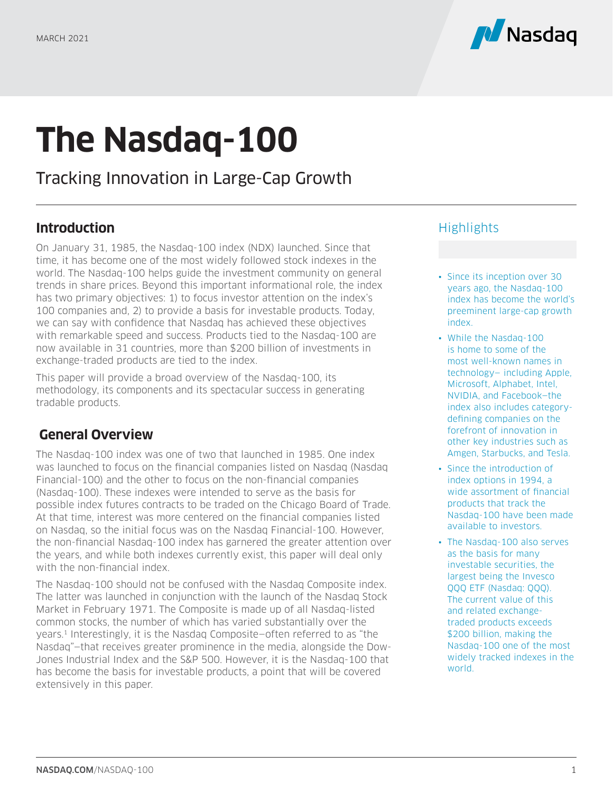

# **The Nasdaq-100**

Tracking Innovation in Large-Cap Growth

# **Introduction**

On January 31, 1985, the Nasdaq-100 index (NDX) launched. Since that time, it has become one of the most widely followed stock indexes in the world. The Nasdaq-100 helps guide the investment community on general trends in share prices. Beyond this important informational role, the index has two primary objectives: 1) to focus investor attention on the index's 100 companies and, 2) to provide a basis for investable products. Today, we can say with confidence that Nasdaq has achieved these objectives with remarkable speed and success. Products tied to the Nasdaq-100 are now available in 31 countries, more than \$200 billion of investments in exchange-traded products are tied to the index.

This paper will provide a broad overview of the Nasdaq-100, its methodology, its components and its spectacular success in generating tradable products.

# **General Overview**

The Nasdaq-100 index was one of two that launched in 1985. One index was launched to focus on the financial companies listed on Nasdaq (Nasdaq Financial-100) and the other to focus on the non-financial companies (Nasdaq-100). These indexes were intended to serve as the basis for possible index futures contracts to be traded on the Chicago Board of Trade. At that time, interest was more centered on the financial companies listed on Nasdaq, so the initial focus was on the Nasdaq Financial-100. However, the non-financial Nasdaq-100 index has garnered the greater attention over the years, and while both indexes currently exist, this paper will deal only with the non-financial index.

The Nasdaq-100 should not be confused with the Nasdaq Composite index. The latter was launched in conjunction with the launch of the Nasdaq Stock Market in February 1971. The Composite is made up of all Nasdaq-listed common stocks, the number of which has varied substantially over the years.1 Interestingly, it is the Nasdaq Composite—often referred to as "the Nasdaq"—that receives greater prominence in the media, alongside the Dow-Jones Industrial Index and the S&P 500. However, it is the Nasdaq-100 that has become the basis for investable products, a point that will be covered extensively in this paper.

# **Highlights**

- Since its inception over 30 years ago, the Nasdaq-100 index has become the world's preeminent large-cap growth index.
- While the Nasdaq-100 is home to some of the most well-known names in technology— including Apple, Microsoft, Alphabet, Intel, NVIDIA, and Facebook—the index also includes categorydefining companies on the forefront of innovation in other key industries such as Amgen, Starbucks, and Tesla.
- Since the introduction of index options in 1994, a wide assortment of financial products that track the Nasdaq-100 have been made available to investors.
- The Nasdaq-100 also serves as the basis for many investable securities, the largest being the Invesco QQQ ETF (Nasdaq: QQQ). The current value of this and related exchangetraded products exceeds \$200 billion, making the Nasdaq-100 one of the most widely tracked indexes in the world.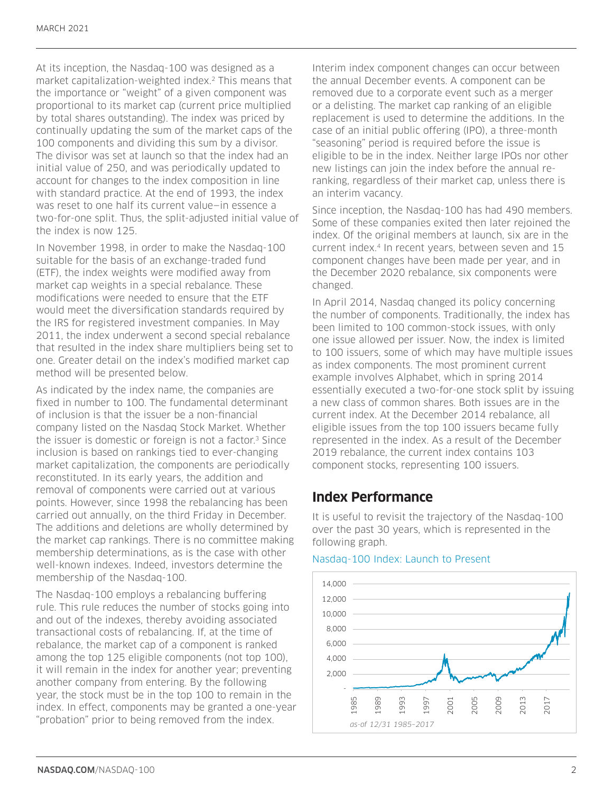At its inception, the Nasdaq-100 was designed as a market capitalization-weighted index.2 This means that the importance or "weight" of a given component was proportional to its market cap (current price multiplied by total shares outstanding). The index was priced by continually updating the sum of the market caps of the 100 components and dividing this sum by a divisor. The divisor was set at launch so that the index had an initial value of 250, and was periodically updated to account for changes to the index composition in line with standard practice. At the end of 1993, the index was reset to one half its current value—in essence a two-for-one split. Thus, the split-adjusted initial value of the index is now 125.

In November 1998, in order to make the Nasdaq-100 suitable for the basis of an exchange-traded fund (ETF), the index weights were modified away from market cap weights in a special rebalance. These modifications were needed to ensure that the ETF would meet the diversification standards required by the IRS for registered investment companies. In May 2011, the index underwent a second special rebalance that resulted in the index share multipliers being set to one. Greater detail on the index's modified market cap method will be presented below.

As indicated by the index name, the companies are fixed in number to 100. The fundamental determinant of inclusion is that the issuer be a non-financial company listed on the Nasdaq Stock Market. Whether the issuer is domestic or foreign is not a factor.<sup>3</sup> Since inclusion is based on rankings tied to ever-changing market capitalization, the components are periodically reconstituted. In its early years, the addition and removal of components were carried out at various points. However, since 1998 the rebalancing has been carried out annually, on the third Friday in December. The additions and deletions are wholly determined by the market cap rankings. There is no committee making membership determinations, as is the case with other well-known indexes. Indeed, investors determine the membership of the Nasdaq-100.

The Nasdaq-100 employs a rebalancing buffering rule. This rule reduces the number of stocks going into and out of the indexes, thereby avoiding associated transactional costs of rebalancing. If, at the time of rebalance, the market cap of a component is ranked among the top 125 eligible components (not top 100), it will remain in the index for another year; preventing another company from entering. By the following year, the stock must be in the top 100 to remain in the index. In effect, components may be granted a one-year "probation" prior to being removed from the index.

Interim index component changes can occur between the annual December events. A component can be removed due to a corporate event such as a merger or a delisting. The market cap ranking of an eligible replacement is used to determine the additions. In the case of an initial public offering (IPO), a three-month "seasoning" period is required before the issue is eligible to be in the index. Neither large IPOs nor other new listings can join the index before the annual reranking, regardless of their market cap, unless there is an interim vacancy.

Since inception, the Nasdaq-100 has had 490 members. Some of these companies exited then later rejoined the index. Of the original members at launch, six are in the current index.<sup>4</sup> In recent years, between seven and 15 component changes have been made per year, and in the December 2020 rebalance, six components were changed.

In April 2014, Nasdaq changed its policy concerning the number of components. Traditionally, the index has been limited to 100 common-stock issues, with only one issue allowed per issuer. Now, the index is limited to 100 issuers, some of which may have multiple issues as index components. The most prominent current example involves Alphabet, which in spring 2014 essentially executed a two-for-one stock split by issuing a new class of common shares. Both issues are in the current index. At the December 2014 rebalance, all eligible issues from the top 100 issuers became fully represented in the index. As a result of the December 2019 rebalance, the current index contains 103 component stocks, representing 100 issuers.

## **Index Performance**

It is useful to revisit the trajectory of the Nasdaq-100 over the past 30 years, which is represented in the following graph.



#### Nasdaq-100 Index: Launch to Present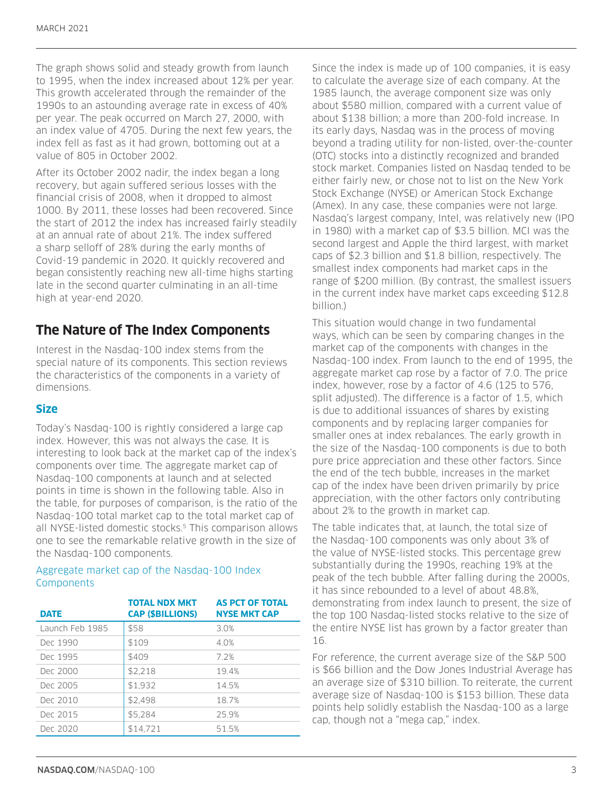The graph shows solid and steady growth from launch to 1995, when the index increased about 12% per year. This growth accelerated through the remainder of the 1990s to an astounding average rate in excess of 40% per year. The peak occurred on March 27, 2000, with an index value of 4705. During the next few years, the index fell as fast as it had grown, bottoming out at a value of 805 in October 2002.

After its October 2002 nadir, the index began a long recovery, but again suffered serious losses with the financial crisis of 2008, when it dropped to almost 1000. By 2011, these losses had been recovered. Since the start of 2012 the index has increased fairly steadily at an annual rate of about 21%. The index suffered a sharp selloff of 28% during the early months of Covid-19 pandemic in 2020. It quickly recovered and began consistently reaching new all-time highs starting late in the second quarter culminating in an all-time high at year-end 2020.

# **The Nature of The Index Components**

Interest in the Nasdaq-100 index stems from the special nature of its components. This section reviews the characteristics of the components in a variety of dimensions.

#### **Size**

Today's Nasdaq-100 is rightly considered a large cap index. However, this was not always the case. It is interesting to look back at the market cap of the index's components over time. The aggregate market cap of Nasdaq-100 components at launch and at selected points in time is shown in the following table. Also in the table, for purposes of comparison, is the ratio of the Nasdaq-100 total market cap to the total market cap of all NYSE-listed domestic stocks.<sup>5</sup> This comparison allows one to see the remarkable relative growth in the size of the Nasdaq-100 components.

#### Aggregate market cap of the Nasdaq-100 Index **Components**

| <b>DATE</b>     | <b>TOTAL NDX MKT</b><br><b>CAP (\$BILLIONS)</b> | <b>AS PCT OF TOTAL</b><br><b>NYSE MKT CAP</b> |
|-----------------|-------------------------------------------------|-----------------------------------------------|
| Launch Feb 1985 | \$58                                            | 3.0%                                          |
| Dec 1990        | \$109                                           | 4.0%                                          |
| Dec 1995        | \$409                                           | 72%                                           |
| Dec. 2000       | \$2,218                                         | 194%                                          |
| Dec 2005        | \$1,932                                         | 14.5%                                         |
| Dec 2010        | \$2.498                                         | 18.7%                                         |
| Dec 2015        | \$5,284                                         | 259%                                          |
| Dec 2020        | \$14,721                                        | 51 5%                                         |

Since the index is made up of 100 companies, it is easy to calculate the average size of each company. At the 1985 launch, the average component size was only about \$580 million, compared with a current value of about \$138 billion; a more than 200-fold increase. In its early days, Nasdaq was in the process of moving beyond a trading utility for non-listed, over-the-counter (OTC) stocks into a distinctly recognized and branded stock market. Companies listed on Nasdaq tended to be either fairly new, or chose not to list on the New York Stock Exchange (NYSE) or American Stock Exchange (Amex). In any case, these companies were not large. Nasdaq's largest company, Intel, was relatively new (IPO in 1980) with a market cap of \$3.5 billion. MCI was the second largest and Apple the third largest, with market caps of \$2.3 billion and \$1.8 billion, respectively. The smallest index components had market caps in the range of \$200 million. (By contrast, the smallest issuers in the current index have market caps exceeding \$12.8 billion.)

This situation would change in two fundamental ways, which can be seen by comparing changes in the market cap of the components with changes in the Nasdaq-100 index. From launch to the end of 1995, the aggregate market cap rose by a factor of 7.0. The price index, however, rose by a factor of 4.6 (125 to 576, split adjusted). The difference is a factor of 1.5, which is due to additional issuances of shares by existing components and by replacing larger companies for smaller ones at index rebalances. The early growth in the size of the Nasdaq-100 components is due to both pure price appreciation and these other factors. Since the end of the tech bubble, increases in the market cap of the index have been driven primarily by price appreciation, with the other factors only contributing about 2% to the growth in market cap.

The table indicates that, at launch, the total size of the Nasdaq-100 components was only about 3% of the value of NYSE-listed stocks. This percentage grew substantially during the 1990s, reaching 19% at the peak of the tech bubble. After falling during the 2000s, it has since rebounded to a level of about 48.8%, demonstrating from index launch to present, the size of the top 100 Nasdaq-listed stocks relative to the size of the entire NYSE list has grown by a factor greater than 16.

For reference, the current average size of the S&P 500 is \$66 billion and the Dow Jones Industrial Average has an average size of \$310 billion. To reiterate, the current average size of Nasdaq-100 is \$153 billion. These data points help solidly establish the Nasdaq-100 as a large cap, though not a "mega cap," index.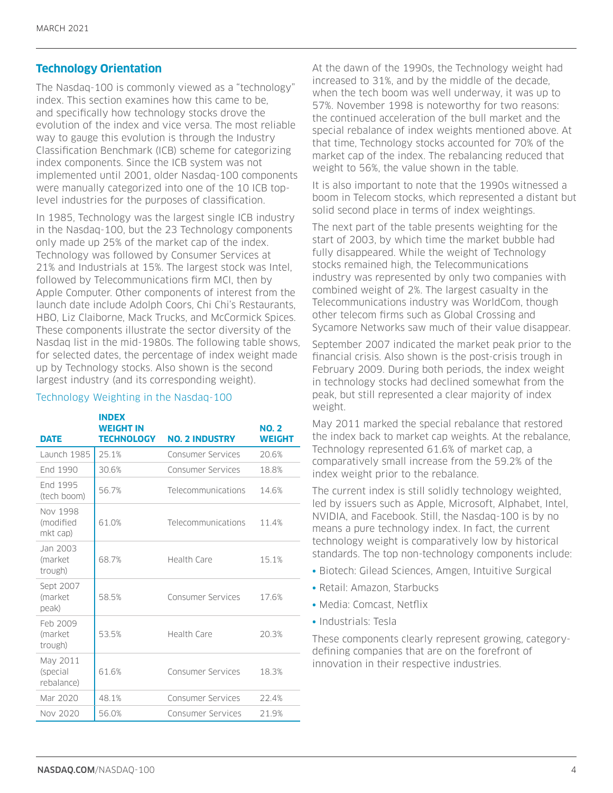## **Technology Orientation**

The Nasdaq-100 is commonly viewed as a "technology" index. This section examines how this came to be, and specifically how technology stocks drove the evolution of the index and vice versa. The most reliable way to gauge this evolution is through the Industry Classification Benchmark (ICB) scheme for categorizing index components. Since the ICB system was not implemented until 2001, older Nasdaq-100 components were manually categorized into one of the 10 ICB toplevel industries for the purposes of classification.

In 1985, Technology was the largest single ICB industry in the Nasdaq-100, but the 23 Technology components only made up 25% of the market cap of the index. Technology was followed by Consumer Services at 21% and Industrials at 15%. The largest stock was Intel, followed by Telecommunications firm MCI, then by Apple Computer. Other components of interest from the launch date include Adolph Coors, Chi Chi's Restaurants, HBO, Liz Claiborne, Mack Trucks, and McCormick Spices. These components illustrate the sector diversity of the Nasdaq list in the mid-1980s. The following table shows, for selected dates, the percentage of index weight made up by Technology stocks. Also shown is the second largest industry (and its corresponding weight).

#### Technology Weighting in the Nasdaq-100

| <b>DATE</b>                        | <b>INDEX</b><br>WEIGHT IN<br><b>TECHNOLOGY</b> | <b>NO. 2 INDUSTRY</b>    | <b>NO. 2</b><br><b>WEIGHT</b> |
|------------------------------------|------------------------------------------------|--------------------------|-------------------------------|
| Launch 1985                        | 25.1%                                          | <b>Consumer Services</b> | 20.6%                         |
| End 1990                           | 30.6%                                          | Consumer Services        | 18.8%                         |
| End 1995<br>(tech boom)            | 56.7%                                          | Telecommunications       | 14.6%                         |
| Nov 1998<br>(modified<br>mkt cap)  | 610%                                           | Telecommunications       | 11.4%                         |
| Jan 2003<br>(market<br>trough)     | 68.7%                                          | Health Care              | 15.1%                         |
| Sept 2007<br>(market<br>peak)      | 58.5%                                          | Consumer Services        | 176%                          |
| Feb 2009<br>(market<br>trough)     | 53.5%                                          | Health Care              | 20.3%                         |
| May 2011<br>(special<br>rebalance) | 616%                                           | <b>Consumer Services</b> | 18.3%                         |
| Mar 2020                           | 48.1%                                          | Consumer Services        | 22.4%                         |
| Nov 2020                           | 56.0%                                          | Consumer Services        | 21.9%                         |

At the dawn of the 1990s, the Technology weight had increased to 31%, and by the middle of the decade, when the tech boom was well underway, it was up to 57%. November 1998 is noteworthy for two reasons: the continued acceleration of the bull market and the special rebalance of index weights mentioned above. At that time, Technology stocks accounted for 70% of the market cap of the index. The rebalancing reduced that weight to 56%, the value shown in the table.

It is also important to note that the 1990s witnessed a boom in Telecom stocks, which represented a distant but solid second place in terms of index weightings.

The next part of the table presents weighting for the start of 2003, by which time the market bubble had fully disappeared. While the weight of Technology stocks remained high, the Telecommunications industry was represented by only two companies with combined weight of 2%. The largest casualty in the Telecommunications industry was WorldCom, though other telecom firms such as Global Crossing and Sycamore Networks saw much of their value disappear.

September 2007 indicated the market peak prior to the financial crisis. Also shown is the post-crisis trough in February 2009. During both periods, the index weight in technology stocks had declined somewhat from the peak, but still represented a clear majority of index weight.

May 2011 marked the special rebalance that restored the index back to market cap weights. At the rebalance, Technology represented 61.6% of market cap, a comparatively small increase from the 59.2% of the index weight prior to the rebalance.

The current index is still solidly technology weighted, led by issuers such as Apple, Microsoft, Alphabet, Intel, NVIDIA, and Facebook. Still, the Nasdaq-100 is by no means a pure technology index. In fact, the current technology weight is comparatively low by historical standards. The top non-technology components include:

- Biotech: Gilead Sciences, Amgen, Intuitive Surgical
- Retail: Amazon, Starbucks
- Media: Comcast, Netflix
- Industrials: Tesla

These components clearly represent growing, categorydefining companies that are on the forefront of innovation in their respective industries.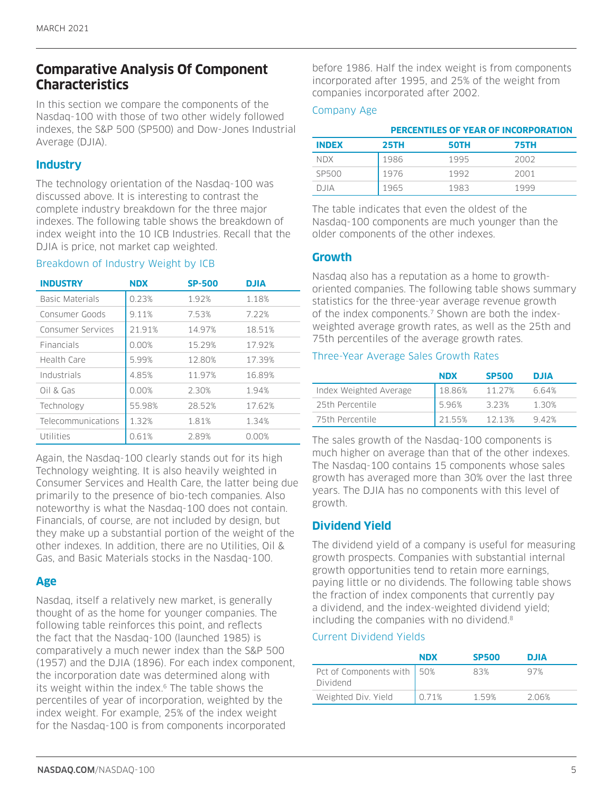# **Comparative Analysis Of Component Characteristics**

In this section we compare the components of the Nasdaq-100 with those of two other widely followed indexes, the S&P 500 (SP500) and Dow-Jones Industrial Average (DJIA).

## **Industry**

The technology orientation of the Nasdaq-100 was discussed above. It is interesting to contrast the complete industry breakdown for the three major indexes. The following table shows the breakdown of index weight into the 10 ICB Industries. Recall that the DJIA is price, not market cap weighted.

#### Breakdown of Industry Weight by ICB

| <b>INDUSTRY</b>           | <b>NDX</b> | <b>SP-500</b> | <b>DJIA</b> |
|---------------------------|------------|---------------|-------------|
| Basic Materials           | 0.23%      | 1.92%         | 1.18%       |
| Consumer Goods            | 9.11%      | 7.53%         | 7.22%       |
| Consumer Services         | 21.91%     | 14.97%        | 18.51%      |
| <b>Financials</b>         | 0.00%      | 15.29%        | 17.92%      |
| Health Care               | 5.99%      | 12.80%        | 17.39%      |
| Industrials               | 4.85%      | 11.97%        | 16.89%      |
| Oil & Gas                 | 0.00%      | 2.30%         | 1.94%       |
| Technology                | 55.98%     | 28.52%        | 17.62%      |
| <b>Telecommunications</b> | 1.32%      | 1.81%         | 1.34%       |
| Utilities                 | 0.61%      | 2.89%         | 0.00%       |

Again, the Nasdaq-100 clearly stands out for its high Technology weighting. It is also heavily weighted in Consumer Services and Health Care, the latter being due primarily to the presence of bio-tech companies. Also noteworthy is what the Nasdaq-100 does not contain. Financials, of course, are not included by design, but they make up a substantial portion of the weight of the other indexes. In addition, there are no Utilities, Oil & Gas, and Basic Materials stocks in the Nasdaq-100.

## **Age**

Nasdaq, itself a relatively new market, is generally thought of as the home for younger companies. The following table reinforces this point, and reflects the fact that the Nasdaq-100 (launched 1985) is comparatively a much newer index than the S&P 500 (1957) and the DJIA (1896). For each index component, the incorporation date was determined along with its weight within the index.<sup>6</sup> The table shows the percentiles of year of incorporation, weighted by the index weight. For example, 25% of the index weight for the Nasdaq-100 is from components incorporated

before 1986. Half the index weight is from components incorporated after 1995, and 25% of the weight from companies incorporated after 2002.

#### Company Age

|              | PERCENTILES OF YEAR OF INCORPORATION |             |      |
|--------------|--------------------------------------|-------------|------|
| <b>INDEX</b> | 25TH                                 | <b>50TH</b> | 75TH |
| <b>NDX</b>   | 1986                                 | 1995        | 2002 |
| SP500        | 1976                                 | 1992        | 2001 |
| D JIA        | 1965                                 | 1983        | 1999 |

The table indicates that even the oldest of the Nasdaq-100 components are much younger than the older components of the other indexes.

#### **Growth**

Nasdaq also has a reputation as a home to growthoriented companies. The following table shows summary statistics for the three-year average revenue growth of the index components.<sup>7</sup> Shown are both the indexweighted average growth rates, as well as the 25th and 75th percentiles of the average growth rates.

#### Three-Year Average Sales Growth Rates

|                        | <b>NDX</b> | <b>SP500</b> | <b>DJIA</b> |
|------------------------|------------|--------------|-------------|
| Index Weighted Average | 1886%      | 11 27%       | 664%        |
| 25th Percentile        | 596%       | 323%         | 1.30%       |
| 75th Percentile        | 21.55%     | 1213%        | 942%        |

The sales growth of the Nasdaq-100 components is much higher on average than that of the other indexes. The Nasdaq-100 contains 15 components whose sales growth has averaged more than 30% over the last three years. The DJIA has no components with this level of growth.

## **Dividend Yield**

The dividend yield of a company is useful for measuring growth prospects. Companies with substantial internal growth opportunities tend to retain more earnings, paying little or no dividends. The following table shows the fraction of index components that currently pay a dividend, and the index-weighted dividend yield; including the companies with no dividend.<sup>8</sup>

#### Current Dividend Yields

|                                          | <b>NDX</b> | <b>SP500</b> | <b>DJIA</b> |
|------------------------------------------|------------|--------------|-------------|
| Pct of Components with   50%<br>Dividend |            | 83%          | 97%         |
| Weighted Div. Yield                      | 0.71%      | 159%         | 206%        |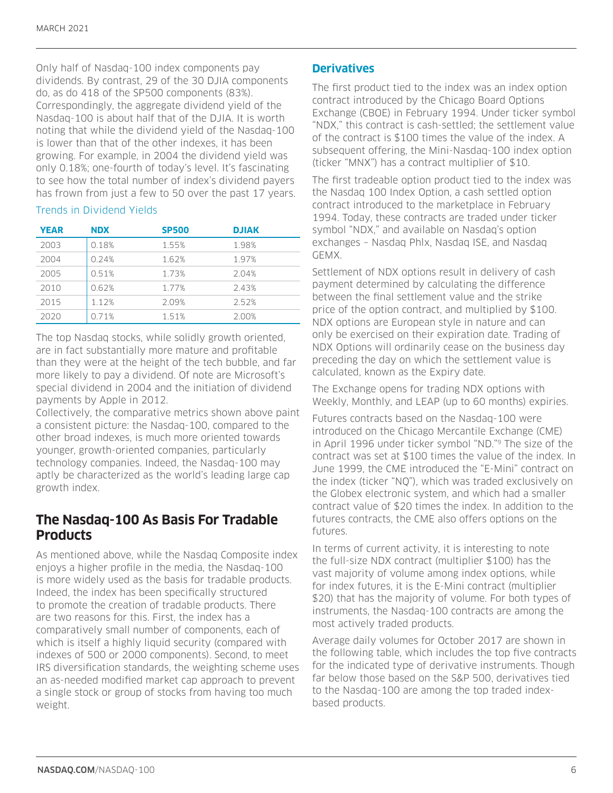Only half of Nasdaq-100 index components pay dividends. By contrast, 29 of the 30 DJIA components do, as do 418 of the SP500 components (83%). Correspondingly, the aggregate dividend yield of the Nasdaq-100 is about half that of the DJIA. It is worth noting that while the dividend yield of the Nasdaq-100 is lower than that of the other indexes, it has been growing. For example, in 2004 the dividend yield was only 0.18%; one-fourth of today's level. It's fascinating to see how the total number of index's dividend payers has frown from just a few to 50 over the past 17 years.

#### Trends in Dividend Yields

| <b>YEAR</b> | <b>NDX</b> | <b>SP500</b> | <b>DJIAK</b> |
|-------------|------------|--------------|--------------|
| 2003        | 0.18%      | 1.55%        | 1.98%        |
| 2004        | 0.24%      | 1.62%        | 1.97%        |
| 2005        | 0.51%      | 1.73%        | 2.04%        |
| 2010        | 0.62%      | 1 77%        | 243%         |
| 2015        | 1.12%      | 2.09%        | 252%         |
| 2020        | 0.71%      | 1.51%        | 2.00%        |

The top Nasdaq stocks, while solidly growth oriented, are in fact substantially more mature and profitable than they were at the height of the tech bubble, and far more likely to pay a dividend. Of note are Microsoft's special dividend in 2004 and the initiation of dividend payments by Apple in 2012.

Collectively, the comparative metrics shown above paint a consistent picture: the Nasdaq-100, compared to the other broad indexes, is much more oriented towards younger, growth-oriented companies, particularly technology companies. Indeed, the Nasdaq-100 may aptly be characterized as the world's leading large cap growth index.

# **The Nasdaq-100 As Basis For Tradable Products**

As mentioned above, while the Nasdaq Composite index enjoys a higher profile in the media, the Nasdaq-100 is more widely used as the basis for tradable products. Indeed, the index has been specifically structured to promote the creation of tradable products. There are two reasons for this. First, the index has a comparatively small number of components, each of which is itself a highly liquid security (compared with indexes of 500 or 2000 components). Second, to meet IRS diversification standards, the weighting scheme uses an as-needed modified market cap approach to prevent a single stock or group of stocks from having too much weight.

## **Derivatives**

The first product tied to the index was an index option contract introduced by the Chicago Board Options Exchange (CBOE) in February 1994. Under ticker symbol "NDX," this contract is cash-settled; the settlement value of the contract is \$100 times the value of the index. A subsequent offering, the Mini-Nasdaq-100 index option (ticker "MNX") has a contract multiplier of \$10.

The first tradeable option product tied to the index was the Nasdaq 100 Index Option, a cash settled option contract introduced to the marketplace in February 1994. Today, these contracts are traded under ticker symbol "NDX," and available on Nasdaq's option exchanges – Nasdaq Phlx, Nasdaq ISE, and Nasdaq GEMX.

Settlement of NDX options result in delivery of cash payment determined by calculating the difference between the final settlement value and the strike price of the option contract, and multiplied by \$100. NDX options are European style in nature and can only be exercised on their expiration date. Trading of NDX Options will ordinarily cease on the business day preceding the day on which the settlement value is calculated, known as the Expiry date.

The Exchange opens for trading NDX options with Weekly, Monthly, and LEAP (up to 60 months) expiries.

Futures contracts based on the Nasdaq-100 were introduced on the Chicago Mercantile Exchange (CME) in April 1996 under ticker symbol "ND."9 The size of the contract was set at \$100 times the value of the index. In June 1999, the CME introduced the "E-Mini" contract on the index (ticker "NQ"), which was traded exclusively on the Globex electronic system, and which had a smaller contract value of \$20 times the index. In addition to the futures contracts, the CME also offers options on the futures.

In terms of current activity, it is interesting to note the full-size NDX contract (multiplier \$100) has the vast majority of volume among index options, while for index futures, it is the E-Mini contract (multiplier \$20) that has the majority of volume. For both types of instruments, the Nasdaq-100 contracts are among the most actively traded products.

Average daily volumes for October 2017 are shown in the following table, which includes the top five contracts for the indicated type of derivative instruments. Though far below those based on the S&P 500, derivatives tied to the Nasdaq-100 are among the top traded indexbased products.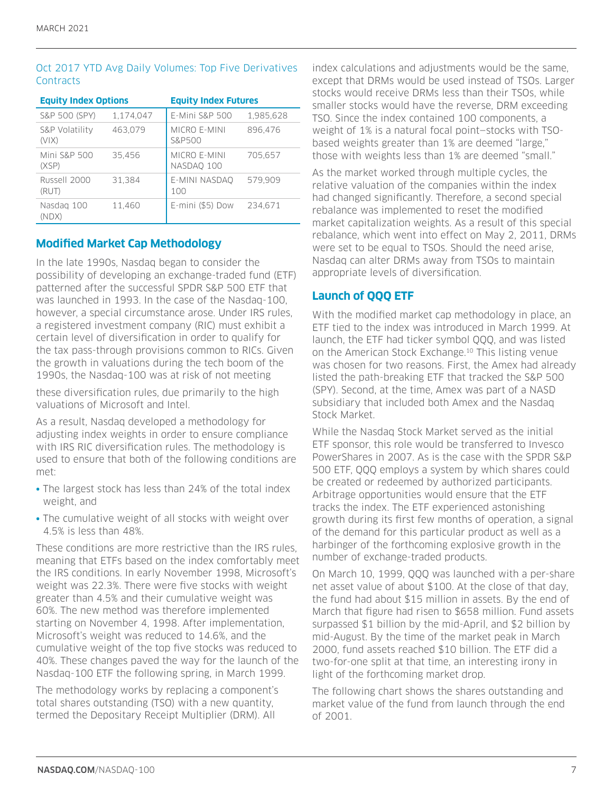#### Oct 2017 YTD Avg Daily Volumes: Top Five Derivatives **Contracts**

| <b>Equity Index Options</b>      |           | <b>Equity Index Futures</b>       |           |  |
|----------------------------------|-----------|-----------------------------------|-----------|--|
| S&P 500 (SPY)                    | 1,174,047 | E-Mini S&P 500                    | 1,985,628 |  |
| S&P Volatility<br>(V X)          | 463.079   | <b>MICRO E-MINI</b><br>S&P500     | 896.476   |  |
| <b>Mini S&amp;P 500</b><br>(XSP) | 35.456    | <b>MICRO E-MINI</b><br>NASDAO 100 | 705.657   |  |
| Russell 2000<br>(RUT)            | 31.384    | E-MINI NASDAO<br>100              | 579.909   |  |
| Nasdag 100<br>(NDX)              | 11.460    | E-mini (\$5) Dow                  | 234.671   |  |

## **Modified Market Cap Methodology**

In the late 1990s, Nasdaq began to consider the possibility of developing an exchange-traded fund (ETF) patterned after the successful SPDR S&P 500 ETF that was launched in 1993. In the case of the Nasdaq-100, however, a special circumstance arose. Under IRS rules, a registered investment company (RIC) must exhibit a certain level of diversification in order to qualify for the tax pass-through provisions common to RICs. Given the growth in valuations during the tech boom of the 1990s, the Nasdaq-100 was at risk of not meeting

these diversification rules, due primarily to the high valuations of Microsoft and Intel.

As a result, Nasdaq developed a methodology for adjusting index weights in order to ensure compliance with IRS RIC diversification rules. The methodology is used to ensure that both of the following conditions are met:

- The largest stock has less than 24% of the total index weight, and
- The cumulative weight of all stocks with weight over 4.5% is less than 48%.

These conditions are more restrictive than the IRS rules, meaning that ETFs based on the index comfortably meet the IRS conditions. In early November 1998, Microsoft's weight was 22.3%. There were five stocks with weight greater than 4.5% and their cumulative weight was 60%. The new method was therefore implemented starting on November 4, 1998. After implementation, Microsoft's weight was reduced to 14.6%, and the cumulative weight of the top five stocks was reduced to 40%. These changes paved the way for the launch of the Nasdaq-100 ETF the following spring, in March 1999.

The methodology works by replacing a component's total shares outstanding (TSO) with a new quantity, termed the Depositary Receipt Multiplier (DRM). All

index calculations and adjustments would be the same, except that DRMs would be used instead of TSOs. Larger stocks would receive DRMs less than their TSOs, while smaller stocks would have the reverse, DRM exceeding TSO. Since the index contained 100 components, a weight of 1% is a natural focal point—stocks with TSObased weights greater than 1% are deemed "large," those with weights less than 1% are deemed "small."

As the market worked through multiple cycles, the relative valuation of the companies within the index had changed significantly. Therefore, a second special rebalance was implemented to reset the modified market capitalization weights. As a result of this special rebalance, which went into effect on May 2, 2011, DRMs were set to be equal to TSOs. Should the need arise, Nasdaq can alter DRMs away from TSOs to maintain appropriate levels of diversification.

## **Launch of QQQ ETF**

With the modified market cap methodology in place, an ETF tied to the index was introduced in March 1999. At launch, the ETF had ticker symbol QQQ, and was listed on the American Stock Exchange.10 This listing venue was chosen for two reasons. First, the Amex had already listed the path-breaking ETF that tracked the S&P 500 (SPY). Second, at the time, Amex was part of a NASD subsidiary that included both Amex and the Nasdaq Stock Market.

While the Nasdaq Stock Market served as the initial ETF sponsor, this role would be transferred to Invesco PowerShares in 2007. As is the case with the SPDR S&P 500 ETF, QQQ employs a system by which shares could be created or redeemed by authorized participants. Arbitrage opportunities would ensure that the ETF tracks the index. The ETF experienced astonishing growth during its first few months of operation, a signal of the demand for this particular product as well as a harbinger of the forthcoming explosive growth in the number of exchange-traded products.

On March 10, 1999, QQQ was launched with a per-share net asset value of about \$100. At the close of that day, the fund had about \$15 million in assets. By the end of March that figure had risen to \$658 million. Fund assets surpassed \$1 billion by the mid-April, and \$2 billion by mid-August. By the time of the market peak in March 2000, fund assets reached \$10 billion. The ETF did a two-for-one split at that time, an interesting irony in light of the forthcoming market drop.

The following chart shows the shares outstanding and market value of the fund from launch through the end of 2001.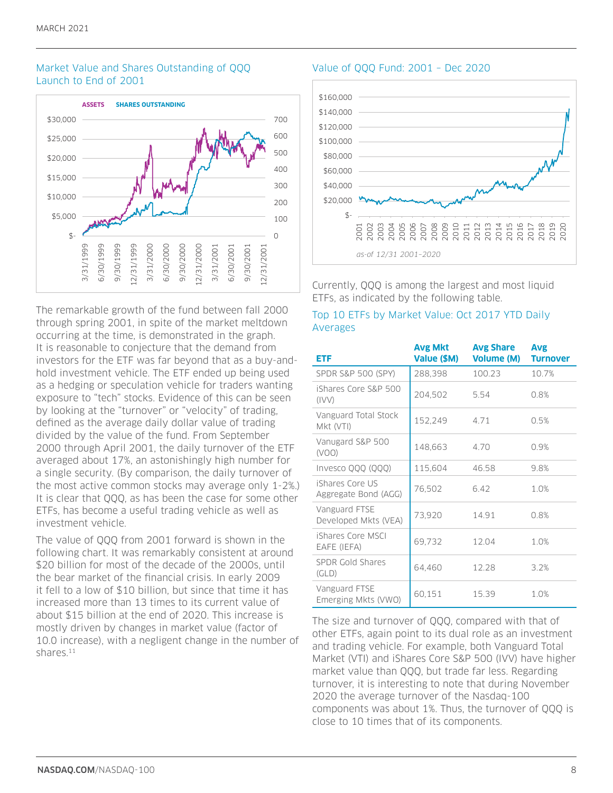#### Market Value and Shares Outstanding of QQQ Launch to End of 2001



The remarkable growth of the fund between fall 2000 through spring 2001, in spite of the market meltdown occurring at the time, is demonstrated in the graph. It is reasonable to conjecture that the demand from investors for the ETF was far beyond that as a buy-andhold investment vehicle. The ETF ended up being used as a hedging or speculation vehicle for traders wanting exposure to "tech" stocks. Evidence of this can be seen by looking at the "turnover" or "velocity" of trading, defined as the average daily dollar value of trading divided by the value of the fund. From September 2000 through April 2001, the daily turnover of the ETF averaged about 17%, an astonishingly high number for a single security. (By comparison, the daily turnover of the most active common stocks may average only 1-2%.) It is clear that QQQ, as has been the case for some other ETFs, has become a useful trading vehicle as well as investment vehicle.

The value of QQQ from 2001 forward is shown in the following chart. It was remarkably consistent at around \$20 billion for most of the decade of the 2000s, until the bear market of the financial crisis. In early 2009 it fell to a low of \$10 billion, but since that time it has increased more than 13 times to its current value of about \$15 billion at the end of 2020. This increase is mostly driven by changes in market value (factor of 10.0 increase), with a negligent change in the number of shares<sup>11</sup>

#### Value of QQQ Fund: 2001 – Dec 2020



Currently, QQQ is among the largest and most liquid ETFs, as indicated by the following table.

#### Top 10 ETFs by Market Value: Oct 2017 YTD Daily Averages

| ETF                                     | <b>Avg Mkt</b><br>Value (\$M) | <b>Avg Share</b><br><b>Volume (M)</b> | <b>Avg</b><br><b>Turnover</b> |
|-----------------------------------------|-------------------------------|---------------------------------------|-------------------------------|
| SPDR S&P 500 (SPY)                      | 288,398                       | 100.23                                | 10.7%                         |
| iShares Core S&P 500<br>(IVV)           | 204,502                       | 5.54                                  | 0.8%                          |
| Vanguard Total Stock<br>Mkt (VTI)       | 152,249                       | 4.71                                  | 0.5%                          |
| Vanugard S&P 500<br>(VOO)               | 148,663                       | 4.70                                  | 0.9%                          |
| Invesco QQQ (QQQ)                       | 115,604                       | 46.58                                 | 9.8%                          |
| iShares Core US<br>Aggregate Bond (AGG) | 76,502                        | 6.42                                  | 1.0%                          |
| Vanguard FTSE<br>Developed Mkts (VEA)   | 73,920                        | 14.91                                 | 0.8%                          |
| iShares Core MSCI<br>EAFE (IEFA)        | 69,732                        | 12.04                                 | 1.0%                          |
| <b>SPDR Gold Shares</b><br>(GLD)        | 64,460                        | 12.28                                 | 3.2%                          |
| Vanguard FTSE<br>Emerging Mkts (VWO)    | 60,151                        | 15.39                                 | 1.0%                          |

The size and turnover of QQQ, compared with that of other ETFs, again point to its dual role as an investment and trading vehicle. For example, both Vanguard Total Market (VTI) and iShares Core S&P 500 (IVV) have higher market value than QQQ, but trade far less. Regarding turnover, it is interesting to note that during November 2020 the average turnover of the Nasdaq-100 components was about 1%. Thus, the turnover of QQQ is close to 10 times that of its components.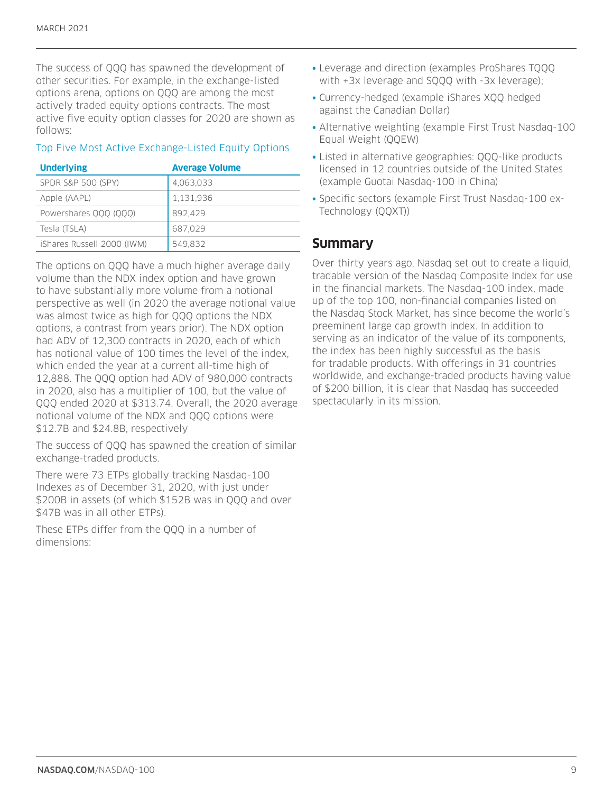The success of QQQ has spawned the development of other securities. For example, in the exchange-listed options arena, options on QQQ are among the most actively traded equity options contracts. The most active five equity option classes for 2020 are shown as follows:

#### Top Five Most Active Exchange-Listed Equity Options

| <b>Underlying</b>             | <b>Average Volume</b> |
|-------------------------------|-----------------------|
| <b>SPDR S&amp;P 500 (SPY)</b> | 4,063,033             |
| Apple (AAPL)                  | 1,131,936             |
| Powershares 000 (000)         | 892,429               |
| Tesla (TSLA)                  | 687,029               |
| iShares Russell 2000 (IWM)    | 549,832               |

The options on QQQ have a much higher average daily volume than the NDX index option and have grown to have substantially more volume from a notional perspective as well (in 2020 the average notional value was almost twice as high for QQQ options the NDX options, a contrast from years prior). The NDX option had ADV of 12,300 contracts in 2020, each of which has notional value of 100 times the level of the index, which ended the year at a current all-time high of 12,888. The QQQ option had ADV of 980,000 contracts in 2020, also has a multiplier of 100, but the value of QQQ ended 2020 at \$313.74. Overall, the 2020 average notional volume of the NDX and QQQ options were \$12.7B and \$24.8B, respectively

The success of QQQ has spawned the creation of similar exchange-traded products.

There were 73 ETPs globally tracking Nasdaq-100 Indexes as of December 31, 2020, with just under \$200B in assets (of which \$152B was in QQQ and over \$47B was in all other ETPs).

These ETPs differ from the QQQ in a number of dimensions:

- Leverage and direction (examples ProShares TQQQ with +3x leverage and SQQQ with -3x leverage);
- Currency-hedged (example iShares XQQ hedged against the Canadian Dollar)
- Alternative weighting (example First Trust Nasdaq-100 Equal Weight (QQEW)
- Listed in alternative geographies: QQQ-like products licensed in 12 countries outside of the United States (example Guotai Nasdaq-100 in China)
- Specific sectors (example First Trust Nasdaq-100 ex-Technology (QQXT))

# **Summary**

Over thirty years ago, Nasdaq set out to create a liquid, tradable version of the Nasdaq Composite Index for use in the financial markets. The Nasdaq-100 index, made up of the top 100, non-financial companies listed on the Nasdaq Stock Market, has since become the world's preeminent large cap growth index. In addition to serving as an indicator of the value of its components, the index has been highly successful as the basis for tradable products. With offerings in 31 countries worldwide, and exchange-traded products having value of \$200 billion, it is clear that Nasdaq has succeeded spectacularly in its mission.